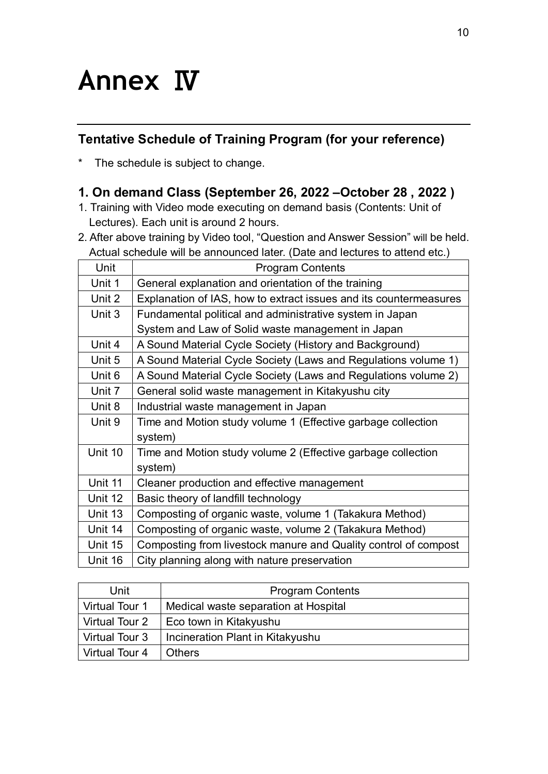## **Annex** Ⅳ

## **Tentative Schedule of Training Program (for your reference)**

\* The schedule is subject to change.

## **1. On demand Class (September 26, 2022 –October 28 , 2022 )**

- 1. Training with Video mode executing on demand basis (Contents: Unit of Lectures). Each unit is around 2 hours.
- 2. After above training by Video tool, "Question and Answer Session" will be held. Actual schedule will be announced later. (Date and lectures to attend etc.)

| <u>totaal bollogalo will bo arritoallood latol. (Dato aria lootal oo to attoria oto.)</u> |                                                                   |  |
|-------------------------------------------------------------------------------------------|-------------------------------------------------------------------|--|
| Unit                                                                                      | <b>Program Contents</b>                                           |  |
| Unit 1                                                                                    | General explanation and orientation of the training               |  |
| Unit 2                                                                                    | Explanation of IAS, how to extract issues and its countermeasures |  |
| Unit 3                                                                                    | Fundamental political and administrative system in Japan          |  |
|                                                                                           | System and Law of Solid waste management in Japan                 |  |
| Unit 4                                                                                    | A Sound Material Cycle Society (History and Background)           |  |
| Unit 5                                                                                    | A Sound Material Cycle Society (Laws and Regulations volume 1)    |  |
| Unit 6                                                                                    | A Sound Material Cycle Society (Laws and Regulations volume 2)    |  |
| Unit 7                                                                                    | General solid waste management in Kitakyushu city                 |  |
| Unit 8                                                                                    | Industrial waste management in Japan                              |  |
| Unit 9                                                                                    | Time and Motion study volume 1 (Effective garbage collection      |  |
|                                                                                           | system)                                                           |  |
| Unit 10                                                                                   | Time and Motion study volume 2 (Effective garbage collection      |  |
|                                                                                           | system)                                                           |  |
| Unit 11                                                                                   | Cleaner production and effective management                       |  |
| Unit 12                                                                                   | Basic theory of landfill technology                               |  |
| Unit 13                                                                                   | Composting of organic waste, volume 1 (Takakura Method)           |  |
| Unit 14                                                                                   | Composting of organic waste, volume 2 (Takakura Method)           |  |
| Unit 15                                                                                   | Composting from livestock manure and Quality control of compost   |  |
| Unit 16                                                                                   | City planning along with nature preservation                      |  |
|                                                                                           |                                                                   |  |

| Unit             | <b>Program Contents</b>              |
|------------------|--------------------------------------|
| l Virtual Tour 1 | Medical waste separation at Hospital |
| Virtual Tour 2   | Eco town in Kitakyushu               |
| Virtual Tour 3   | Incineration Plant in Kitakyushu     |
| l Virtual Tour 4 | <b>Others</b>                        |